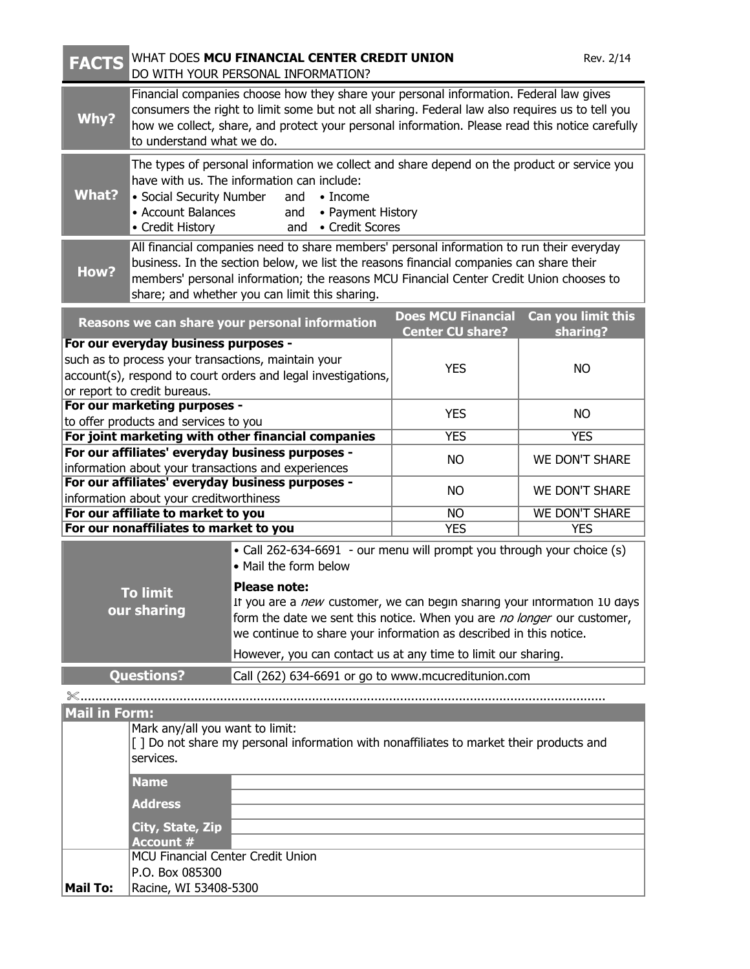| <b>FACTS</b>                                                                                                                                                                                 | WHAT DOES MCU FINANCIAL CENTER CREDIT UNION<br>Rev. 2/14<br>DO WITH YOUR PERSONAL INFORMATION?                                                                                                                                                                                                                                    |                                                                                                                                                                                                                                                  |                                       |                       |  |
|----------------------------------------------------------------------------------------------------------------------------------------------------------------------------------------------|-----------------------------------------------------------------------------------------------------------------------------------------------------------------------------------------------------------------------------------------------------------------------------------------------------------------------------------|--------------------------------------------------------------------------------------------------------------------------------------------------------------------------------------------------------------------------------------------------|---------------------------------------|-----------------------|--|
| Why?                                                                                                                                                                                         | Financial companies choose how they share your personal information. Federal law gives<br>consumers the right to limit some but not all sharing. Federal law also requires us to tell you<br>how we collect, share, and protect your personal information. Please read this notice carefully<br>to understand what we do.         |                                                                                                                                                                                                                                                  |                                       |                       |  |
| <b>What?</b>                                                                                                                                                                                 | The types of personal information we collect and share depend on the product or service you<br>have with us. The information can include:<br>• Social Security Number<br>and<br>$\bullet$ Income<br>• Account Balances<br>• Payment History<br>and<br>• Credit History<br>• Credit Scores<br>and                                  |                                                                                                                                                                                                                                                  |                                       |                       |  |
| How?                                                                                                                                                                                         | All financial companies need to share members' personal information to run their everyday<br>business. In the section below, we list the reasons financial companies can share their<br>members' personal information; the reasons MCU Financial Center Credit Union chooses to<br>share; and whether you can limit this sharing. |                                                                                                                                                                                                                                                  |                                       |                       |  |
|                                                                                                                                                                                              |                                                                                                                                                                                                                                                                                                                                   | Reasons we can share your personal information                                                                                                                                                                                                   | <b>Does MCU Financial</b>             | Can you limit this    |  |
| For our everyday business purposes -<br>such as to process your transactions, maintain your<br>account(s), respond to court orders and legal investigations,<br>or report to credit bureaus. |                                                                                                                                                                                                                                                                                                                                   |                                                                                                                                                                                                                                                  | <b>Center CU share?</b><br><b>YES</b> | sharing?<br><b>NO</b> |  |
| For our marketing purposes -                                                                                                                                                                 |                                                                                                                                                                                                                                                                                                                                   |                                                                                                                                                                                                                                                  | <b>YES</b>                            | <b>NO</b>             |  |
| to offer products and services to you<br>For joint marketing with other financial companies                                                                                                  |                                                                                                                                                                                                                                                                                                                                   |                                                                                                                                                                                                                                                  | <b>YES</b>                            | <b>YES</b>            |  |
| For our affiliates' everyday business purposes -<br>information about your transactions and experiences                                                                                      |                                                                                                                                                                                                                                                                                                                                   |                                                                                                                                                                                                                                                  | <b>NO</b>                             | <b>WE DON'T SHARE</b> |  |
| For our affiliates' everyday business purposes -<br>information about your creditworthiness                                                                                                  |                                                                                                                                                                                                                                                                                                                                   |                                                                                                                                                                                                                                                  | <b>NO</b>                             | <b>WE DON'T SHARE</b> |  |
| For our affiliate to market to you                                                                                                                                                           |                                                                                                                                                                                                                                                                                                                                   |                                                                                                                                                                                                                                                  | <b>NO</b>                             | <b>WE DON'T SHARE</b> |  |
| For our nonaffiliates to market to you<br><b>YES</b><br><b>YES</b>                                                                                                                           |                                                                                                                                                                                                                                                                                                                                   |                                                                                                                                                                                                                                                  |                                       |                       |  |
| <b>To limit</b><br>our sharing                                                                                                                                                               |                                                                                                                                                                                                                                                                                                                                   | • Call 262-634-6691 - our menu will prompt you through your choice (s)<br>• Mail the form below                                                                                                                                                  |                                       |                       |  |
|                                                                                                                                                                                              |                                                                                                                                                                                                                                                                                                                                   | <b>Please note:</b><br>If you are a new customer, we can begin sharing your information 10 days<br>form the date we sent this notice. When you are no longer our customer,<br>we continue to share your information as described in this notice. |                                       |                       |  |
|                                                                                                                                                                                              |                                                                                                                                                                                                                                                                                                                                   | However, you can contact us at any time to limit our sharing.                                                                                                                                                                                    |                                       |                       |  |
| <b>Questions?</b><br>Call (262) 634-6691 or go to www.mcucreditunion.com                                                                                                                     |                                                                                                                                                                                                                                                                                                                                   |                                                                                                                                                                                                                                                  |                                       |                       |  |
| ※.<br><b>Mail in Form:</b><br>Mark any/all you want to limit:<br>[ ] Do not share my personal information with nonaffiliates to market their products and<br>services.                       |                                                                                                                                                                                                                                                                                                                                   |                                                                                                                                                                                                                                                  |                                       |                       |  |
|                                                                                                                                                                                              | <b>Name</b>                                                                                                                                                                                                                                                                                                                       |                                                                                                                                                                                                                                                  |                                       |                       |  |
|                                                                                                                                                                                              | <b>Address</b>                                                                                                                                                                                                                                                                                                                    |                                                                                                                                                                                                                                                  |                                       |                       |  |
|                                                                                                                                                                                              | City, State, Zip                                                                                                                                                                                                                                                                                                                  |                                                                                                                                                                                                                                                  |                                       |                       |  |
|                                                                                                                                                                                              | Account #                                                                                                                                                                                                                                                                                                                         |                                                                                                                                                                                                                                                  |                                       |                       |  |
|                                                                                                                                                                                              | MCU Financial Center Credit Union<br>P.O. Box 085300                                                                                                                                                                                                                                                                              |                                                                                                                                                                                                                                                  |                                       |                       |  |
| <b>Mail To:</b><br>Racine, WI 53408-5300                                                                                                                                                     |                                                                                                                                                                                                                                                                                                                                   |                                                                                                                                                                                                                                                  |                                       |                       |  |